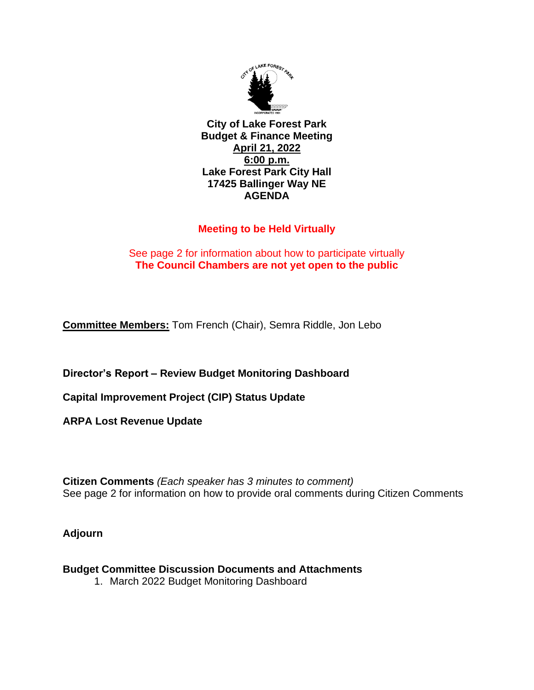

**City of Lake Forest Park Budget & Finance Meeting April 21, 2022 6:00 p.m. Lake Forest Park City Hall 17425 Ballinger Way NE AGENDA**

## **Meeting to be Held Virtually**

## See page 2 for information about how to participate virtually **The Council Chambers are not yet open to the public**

**Committee Members:** Tom French (Chair), Semra Riddle, Jon Lebo

**Director's Report – Review Budget Monitoring Dashboard**

**Capital Improvement Project (CIP) Status Update**

**ARPA Lost Revenue Update**

**Citizen Comments** *(Each speaker has 3 minutes to comment)* See page 2 for information on how to provide oral comments during Citizen Comments

**Adjourn**

**Budget Committee Discussion Documents and Attachments** 

1. March 2022 Budget Monitoring Dashboard